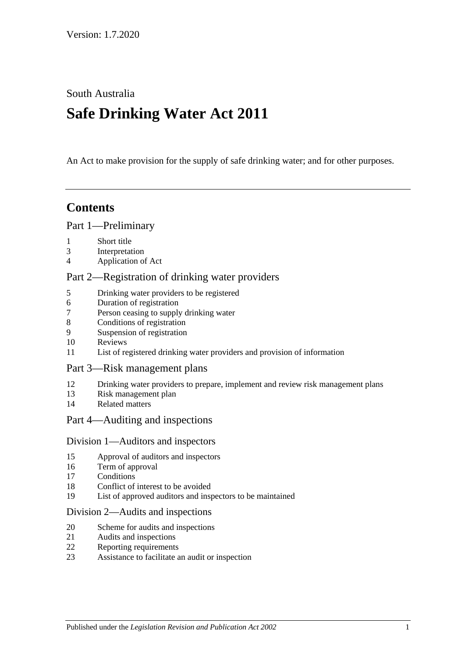South Australia

# **Safe Drinking Water Act 2011**

An Act to make provision for the supply of safe drinking water; and for other purposes.

## **Contents**

#### Part [1—Preliminary](#page-2-0)

- [Short title](#page-2-1)
- [Interpretation](#page-2-2)
- [Application of Act](#page-4-0)

#### Part [2—Registration of drinking water providers](#page-5-0)

- [Drinking water providers to be registered](#page-5-1)
- [Duration of registration](#page-5-2)
- [Person ceasing to supply drinking water](#page-6-0)
- [Conditions of registration](#page-6-1)
- [Suspension of registration](#page-6-2)
- [Reviews](#page-7-0)
- [List of registered drinking water providers and provision of information](#page-8-0)

#### Part [3—Risk management plans](#page-8-1)

- [Drinking water providers to prepare, implement and review risk management plans](#page-8-2)
- [Risk management plan](#page-8-3)
- [Related matters](#page-9-0)

#### Part [4—Auditing and inspections](#page-10-0)

#### Division [1—Auditors and inspectors](#page-10-1)

- [Approval of auditors and inspectors](#page-10-2)
- [Term of approval](#page-10-3)
- [Conditions](#page-11-0)
- [Conflict of interest to be avoided](#page-11-1)
- [List of approved auditors and inspectors to be maintained](#page-12-0)

#### Division [2—Audits and inspections](#page-12-1)

- [Scheme for audits and inspections](#page-12-2)
- [Audits and inspections](#page-12-3)
- [Reporting requirements](#page-13-0)
- [Assistance to facilitate an audit or inspection](#page-13-1)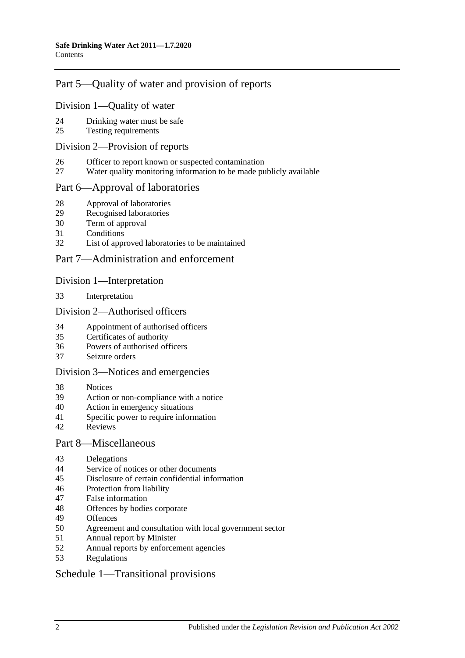### Part [5—Quality of water and provision of reports](#page-14-0)

#### Division [1—Quality of water](#page-14-1)

- [Drinking water must be safe](#page-14-2)
- [Testing requirements](#page-14-3)

#### Division [2—Provision of reports](#page-15-0)

- [Officer to report known or suspected contamination](#page-15-1)
- [Water quality monitoring information to be made publicly available](#page-15-2)

#### Part [6—Approval of laboratories](#page-16-0)

- [Approval of laboratories](#page-16-1)
- [Recognised laboratories](#page-16-2)
- [Term of approval](#page-16-3)
- [Conditions](#page-16-4)
- [List of approved laboratories to be maintained](#page-17-0)

#### Part [7—Administration and enforcement](#page-17-1)

#### Division [1—Interpretation](#page-17-2)

[Interpretation](#page-17-3)

#### Division [2—Authorised officers](#page-18-0)

- [Appointment of authorised officers](#page-18-1)
- [Certificates of authority](#page-18-2)
- [Powers of authorised officers](#page-18-3)
- [Seizure orders](#page-20-0)

#### Division [3—Notices and emergencies](#page-21-0)

- [Notices](#page-21-1)
- [Action or non-compliance with a notice](#page-23-0)
- [Action in emergency situations](#page-23-1)
- [Specific power to require information](#page-24-0)
- [Reviews](#page-24-1)

#### Part [8—Miscellaneous](#page-24-2)

- [Delegations](#page-24-3)
- [Service of notices or other documents](#page-25-0)
- [Disclosure of certain confidential information](#page-25-1)
- [Protection from liability](#page-26-0)
- [False information](#page-26-1)
- [Offences by bodies corporate](#page-26-2)
- [Offences](#page-26-3)
- [Agreement and consultation with local government sector](#page-27-0)
- [Annual report by Minister](#page-27-1)
- [Annual reports by enforcement agencies](#page-27-2)
- [Regulations](#page-27-3)

#### Schedule [1—Transitional provisions](#page-29-0)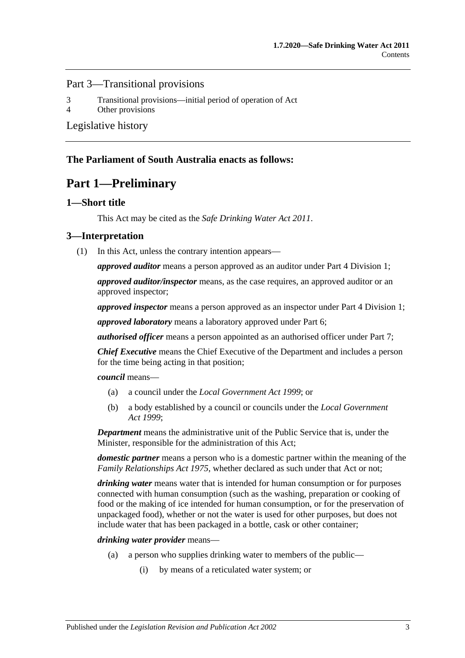#### Part 3—Transitional provisions

3 [Transitional provisions—initial period of operation of Act](#page-29-1)

4 [Other provisions](#page-30-0)

[Legislative history](#page-31-0)

#### <span id="page-2-0"></span>**The Parliament of South Australia enacts as follows:**

## **Part 1—Preliminary**

#### <span id="page-2-1"></span>**1—Short title**

This Act may be cited as the *Safe Drinking Water Act 2011*.

#### <span id="page-2-2"></span>**3—Interpretation**

(1) In this Act, unless the contrary intention appears—

*approved auditor* means a person approved as an auditor under Part [4 Division](#page-10-1) 1;

*approved auditor/inspector* means, as the case requires, an approved auditor or an approved inspector;

*approved inspector* means a person approved as an inspector under Part [4 Division](#page-10-1) 1;

*approved laboratory* means a laboratory approved under [Part](#page-16-0) 6;

*authorised officer* means a person appointed as an authorised officer under [Part](#page-17-1) 7;

*Chief Executive* means the Chief Executive of the Department and includes a person for the time being acting in that position;

*council* means—

- (a) a council under the *[Local Government Act](http://www.legislation.sa.gov.au/index.aspx?action=legref&type=act&legtitle=Local%20Government%20Act%201999) 1999*; or
- (b) a body established by a council or councils under the *[Local Government](http://www.legislation.sa.gov.au/index.aspx?action=legref&type=act&legtitle=Local%20Government%20Act%201999)  Act [1999](http://www.legislation.sa.gov.au/index.aspx?action=legref&type=act&legtitle=Local%20Government%20Act%201999)*;

*Department* means the administrative unit of the Public Service that is, under the Minister, responsible for the administration of this Act;

*domestic partner* means a person who is a domestic partner within the meaning of the *[Family Relationships Act](http://www.legislation.sa.gov.au/index.aspx?action=legref&type=act&legtitle=Family%20Relationships%20Act%201975) 1975*, whether declared as such under that Act or not;

*drinking water* means water that is intended for human consumption or for purposes connected with human consumption (such as the washing, preparation or cooking of food or the making of ice intended for human consumption, or for the preservation of unpackaged food), whether or not the water is used for other purposes, but does not include water that has been packaged in a bottle, cask or other container;

*drinking water provider* means—

- (a) a person who supplies drinking water to members of the public—
	- (i) by means of a reticulated water system; or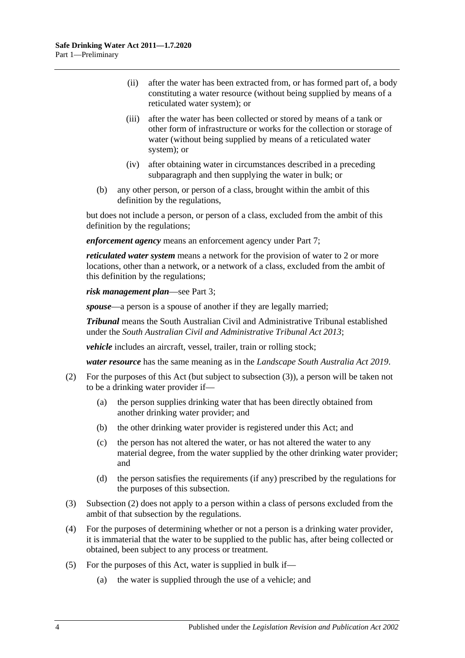- (ii) after the water has been extracted from, or has formed part of, a body constituting a water resource (without being supplied by means of a reticulated water system); or
- (iii) after the water has been collected or stored by means of a tank or other form of infrastructure or works for the collection or storage of water (without being supplied by means of a reticulated water system); or
- (iv) after obtaining water in circumstances described in a preceding subparagraph and then supplying the water in bulk; or
- (b) any other person, or person of a class, brought within the ambit of this definition by the regulations,

but does not include a person, or person of a class, excluded from the ambit of this definition by the regulations;

*enforcement agency* means an enforcement agency under [Part](#page-17-1) 7;

*reticulated water system* means a network for the provision of water to 2 or more locations, other than a network, or a network of a class, excluded from the ambit of this definition by the regulations;

*risk management plan*—see [Part](#page-8-1) 3;

*spouse*—a person is a spouse of another if they are legally married;

*Tribunal* means the South Australian Civil and Administrative Tribunal established under the *[South Australian Civil and Administrative Tribunal Act](http://www.legislation.sa.gov.au/index.aspx?action=legref&type=act&legtitle=South%20Australian%20Civil%20and%20Administrative%20Tribunal%20Act%202013) 2013*;

*vehicle* includes an aircraft, vessel, trailer, train or rolling stock;

*water resource* has the same meaning as in the *[Landscape South Australia Act](http://www.legislation.sa.gov.au/index.aspx?action=legref&type=act&legtitle=Landscape%20South%20Australia%20Act%202019) 2019*.

- <span id="page-3-1"></span>(2) For the purposes of this Act (but subject to [subsection](#page-3-0) (3)), a person will be taken not to be a drinking water provider if—
	- (a) the person supplies drinking water that has been directly obtained from another drinking water provider; and
	- (b) the other drinking water provider is registered under this Act; and
	- (c) the person has not altered the water, or has not altered the water to any material degree, from the water supplied by the other drinking water provider; and
	- (d) the person satisfies the requirements (if any) prescribed by the regulations for the purposes of this subsection.
- <span id="page-3-0"></span>(3) [Subsection](#page-3-1) (2) does not apply to a person within a class of persons excluded from the ambit of that subsection by the regulations.
- (4) For the purposes of determining whether or not a person is a drinking water provider, it is immaterial that the water to be supplied to the public has, after being collected or obtained, been subject to any process or treatment.
- (5) For the purposes of this Act, water is supplied in bulk if—
	- (a) the water is supplied through the use of a vehicle; and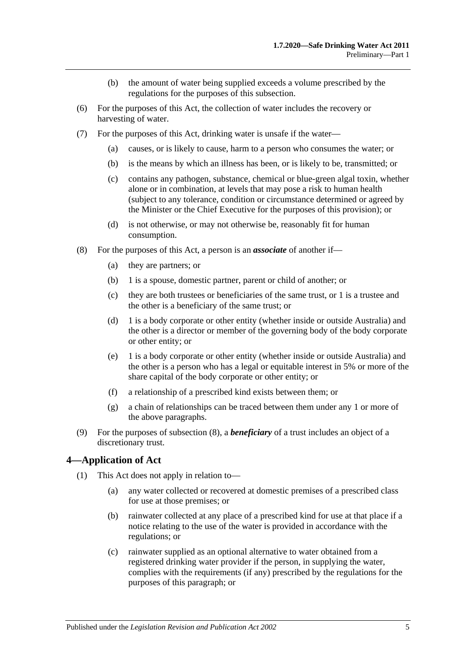- (b) the amount of water being supplied exceeds a volume prescribed by the regulations for the purposes of this subsection.
- (6) For the purposes of this Act, the collection of water includes the recovery or harvesting of water.
- (7) For the purposes of this Act, drinking water is unsafe if the water—
	- (a) causes, or is likely to cause, harm to a person who consumes the water; or
	- (b) is the means by which an illness has been, or is likely to be, transmitted; or
	- (c) contains any pathogen, substance, chemical or blue-green algal toxin, whether alone or in combination, at levels that may pose a risk to human health (subject to any tolerance, condition or circumstance determined or agreed by the Minister or the Chief Executive for the purposes of this provision); or
	- (d) is not otherwise, or may not otherwise be, reasonably fit for human consumption.
- <span id="page-4-1"></span>(8) For the purposes of this Act, a person is an *associate* of another if—
	- (a) they are partners; or
	- (b) 1 is a spouse, domestic partner, parent or child of another; or
	- (c) they are both trustees or beneficiaries of the same trust, or 1 is a trustee and the other is a beneficiary of the same trust; or
	- (d) 1 is a body corporate or other entity (whether inside or outside Australia) and the other is a director or member of the governing body of the body corporate or other entity; or
	- (e) 1 is a body corporate or other entity (whether inside or outside Australia) and the other is a person who has a legal or equitable interest in 5% or more of the share capital of the body corporate or other entity; or
	- (f) a relationship of a prescribed kind exists between them; or
	- (g) a chain of relationships can be traced between them under any 1 or more of the above paragraphs.
- (9) For the purposes of [subsection](#page-4-1) (8), a *beneficiary* of a trust includes an object of a discretionary trust.

#### <span id="page-4-2"></span><span id="page-4-0"></span>**4—Application of Act**

- (1) This Act does not apply in relation to—
	- (a) any water collected or recovered at domestic premises of a prescribed class for use at those premises; or
	- (b) rainwater collected at any place of a prescribed kind for use at that place if a notice relating to the use of the water is provided in accordance with the regulations; or
	- (c) rainwater supplied as an optional alternative to water obtained from a registered drinking water provider if the person, in supplying the water, complies with the requirements (if any) prescribed by the regulations for the purposes of this paragraph; or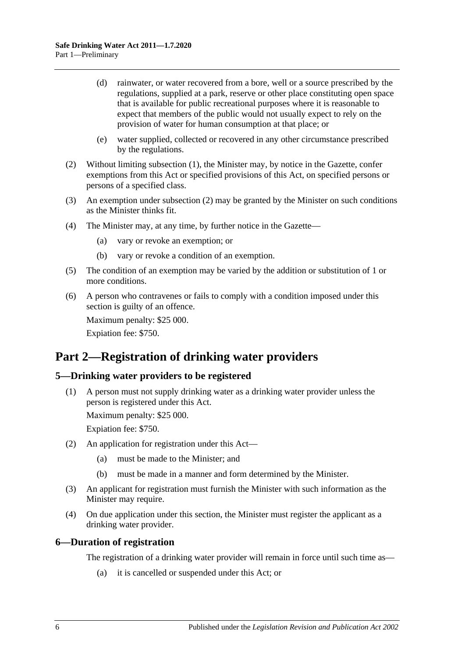- (d) rainwater, or water recovered from a bore, well or a source prescribed by the regulations, supplied at a park, reserve or other place constituting open space that is available for public recreational purposes where it is reasonable to expect that members of the public would not usually expect to rely on the provision of water for human consumption at that place; or
- (e) water supplied, collected or recovered in any other circumstance prescribed by the regulations.
- <span id="page-5-3"></span>(2) Without limiting [subsection](#page-4-2) (1), the Minister may, by notice in the Gazette, confer exemptions from this Act or specified provisions of this Act, on specified persons or persons of a specified class.
- (3) An exemption under [subsection](#page-5-3) (2) may be granted by the Minister on such conditions as the Minister thinks fit.
- (4) The Minister may, at any time, by further notice in the Gazette—
	- (a) vary or revoke an exemption; or
	- (b) vary or revoke a condition of an exemption.
- (5) The condition of an exemption may be varied by the addition or substitution of 1 or more conditions.
- (6) A person who contravenes or fails to comply with a condition imposed under this section is guilty of an offence.

Maximum penalty: \$25 000.

Expiation fee: \$750.

## <span id="page-5-0"></span>**Part 2—Registration of drinking water providers**

#### <span id="page-5-4"></span><span id="page-5-1"></span>**5—Drinking water providers to be registered**

(1) A person must not supply drinking water as a drinking water provider unless the person is registered under this Act.

Maximum penalty: \$25 000.

Expiation fee: \$750.

- (2) An application for registration under this Act—
	- (a) must be made to the Minister; and
	- (b) must be made in a manner and form determined by the Minister.
- (3) An applicant for registration must furnish the Minister with such information as the Minister may require.
- (4) On due application under this section, the Minister must register the applicant as a drinking water provider.

#### <span id="page-5-2"></span>**6—Duration of registration**

The registration of a drinking water provider will remain in force until such time as—

(a) it is cancelled or suspended under this Act; or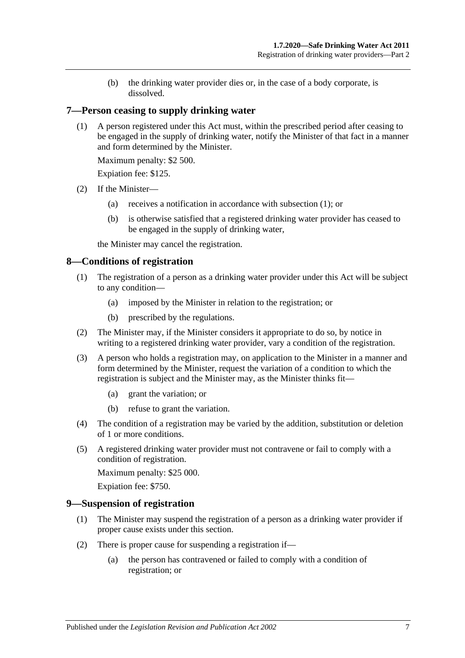(b) the drinking water provider dies or, in the case of a body corporate, is dissolved.

#### <span id="page-6-3"></span><span id="page-6-0"></span>**7—Person ceasing to supply drinking water**

(1) A person registered under this Act must, within the prescribed period after ceasing to be engaged in the supply of drinking water, notify the Minister of that fact in a manner and form determined by the Minister.

Maximum penalty: \$2 500.

Expiation fee: \$125.

- (2) If the Minister—
	- (a) receives a notification in accordance with [subsection](#page-6-3) (1); or
	- (b) is otherwise satisfied that a registered drinking water provider has ceased to be engaged in the supply of drinking water,

the Minister may cancel the registration.

#### <span id="page-6-1"></span>**8—Conditions of registration**

- (1) The registration of a person as a drinking water provider under this Act will be subject to any condition—
	- (a) imposed by the Minister in relation to the registration; or
	- (b) prescribed by the regulations.
- (2) The Minister may, if the Minister considers it appropriate to do so, by notice in writing to a registered drinking water provider, vary a condition of the registration.
- (3) A person who holds a registration may, on application to the Minister in a manner and form determined by the Minister, request the variation of a condition to which the registration is subject and the Minister may, as the Minister thinks fit—
	- (a) grant the variation; or
	- (b) refuse to grant the variation.
- (4) The condition of a registration may be varied by the addition, substitution or deletion of 1 or more conditions.
- (5) A registered drinking water provider must not contravene or fail to comply with a condition of registration.

Maximum penalty: \$25 000.

Expiation fee: \$750.

#### <span id="page-6-2"></span>**9—Suspension of registration**

- (1) The Minister may suspend the registration of a person as a drinking water provider if proper cause exists under this section.
- <span id="page-6-4"></span>(2) There is proper cause for suspending a registration if—
	- (a) the person has contravened or failed to comply with a condition of registration; or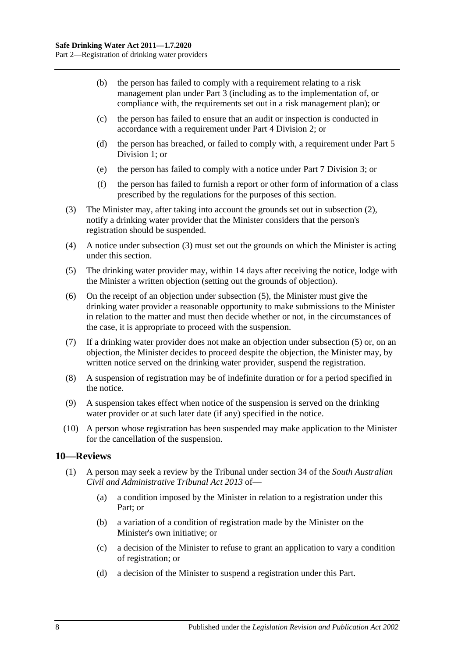- (b) the person has failed to comply with a requirement relating to a risk management plan under [Part](#page-8-1) 3 (including as to the implementation of, or compliance with, the requirements set out in a risk management plan); or
- (c) the person has failed to ensure that an audit or inspection is conducted in accordance with a requirement under Part [4 Division](#page-12-1) 2; or
- (d) the person has breached, or failed to comply with, a requirement under [Part](#page-14-1) 5 [Division](#page-14-1) 1; or
- (e) the person has failed to comply with a notice under Part [7 Division](#page-21-0) 3; or
- (f) the person has failed to furnish a report or other form of information of a class prescribed by the regulations for the purposes of this section.
- <span id="page-7-1"></span>(3) The Minister may, after taking into account the grounds set out in [subsection](#page-6-4) (2), notify a drinking water provider that the Minister considers that the person's registration should be suspended.
- (4) A notice under [subsection](#page-7-1) (3) must set out the grounds on which the Minister is acting under this section.
- <span id="page-7-2"></span>(5) The drinking water provider may, within 14 days after receiving the notice, lodge with the Minister a written objection (setting out the grounds of objection).
- (6) On the receipt of an objection under [subsection](#page-7-2) (5), the Minister must give the drinking water provider a reasonable opportunity to make submissions to the Minister in relation to the matter and must then decide whether or not, in the circumstances of the case, it is appropriate to proceed with the suspension.
- (7) If a drinking water provider does not make an objection under [subsection](#page-7-2) (5) or, on an objection, the Minister decides to proceed despite the objection, the Minister may, by written notice served on the drinking water provider, suspend the registration.
- (8) A suspension of registration may be of indefinite duration or for a period specified in the notice.
- (9) A suspension takes effect when notice of the suspension is served on the drinking water provider or at such later date (if any) specified in the notice.
- (10) A person whose registration has been suspended may make application to the Minister for the cancellation of the suspension.

#### <span id="page-7-0"></span>**10—Reviews**

- (1) A person may seek a review by the Tribunal under section 34 of the *[South Australian](http://www.legislation.sa.gov.au/index.aspx?action=legref&type=act&legtitle=South%20Australian%20Civil%20and%20Administrative%20Tribunal%20Act%202013)  [Civil and Administrative Tribunal Act](http://www.legislation.sa.gov.au/index.aspx?action=legref&type=act&legtitle=South%20Australian%20Civil%20and%20Administrative%20Tribunal%20Act%202013) 2013* of—
	- (a) a condition imposed by the Minister in relation to a registration under this Part; or
	- (b) a variation of a condition of registration made by the Minister on the Minister's own initiative; or
	- (c) a decision of the Minister to refuse to grant an application to vary a condition of registration; or
	- (d) a decision of the Minister to suspend a registration under this Part.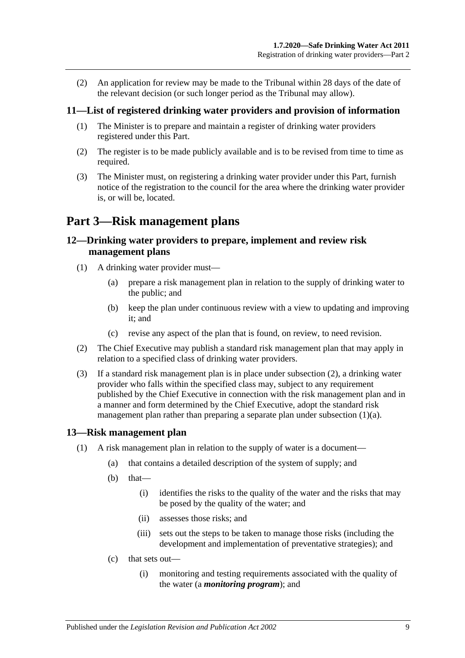(2) An application for review may be made to the Tribunal within 28 days of the date of the relevant decision (or such longer period as the Tribunal may allow).

#### <span id="page-8-0"></span>**11—List of registered drinking water providers and provision of information**

- (1) The Minister is to prepare and maintain a register of drinking water providers registered under this Part.
- (2) The register is to be made publicly available and is to be revised from time to time as required.
- (3) The Minister must, on registering a drinking water provider under this Part, furnish notice of the registration to the council for the area where the drinking water provider is, or will be, located.

## <span id="page-8-1"></span>**Part 3—Risk management plans**

#### <span id="page-8-2"></span>**12—Drinking water providers to prepare, implement and review risk management plans**

- <span id="page-8-5"></span>(1) A drinking water provider must—
	- (a) prepare a risk management plan in relation to the supply of drinking water to the public; and
	- (b) keep the plan under continuous review with a view to updating and improving it; and
	- (c) revise any aspect of the plan that is found, on review, to need revision.
- <span id="page-8-4"></span>(2) The Chief Executive may publish a standard risk management plan that may apply in relation to a specified class of drinking water providers.
- <span id="page-8-6"></span>(3) If a standard risk management plan is in place under [subsection](#page-8-4) (2), a drinking water provider who falls within the specified class may, subject to any requirement published by the Chief Executive in connection with the risk management plan and in a manner and form determined by the Chief Executive, adopt the standard risk management plan rather than preparing a separate plan under [subsection](#page-8-5) (1)(a).

#### <span id="page-8-3"></span>**13—Risk management plan**

- (1) A risk management plan in relation to the supply of water is a document—
	- (a) that contains a detailed description of the system of supply; and
	- $(b)$  that—
		- (i) identifies the risks to the quality of the water and the risks that may be posed by the quality of the water; and
		- (ii) assesses those risks; and
		- (iii) sets out the steps to be taken to manage those risks (including the development and implementation of preventative strategies); and
	- (c) that sets out—
		- (i) monitoring and testing requirements associated with the quality of the water (a *monitoring program*); and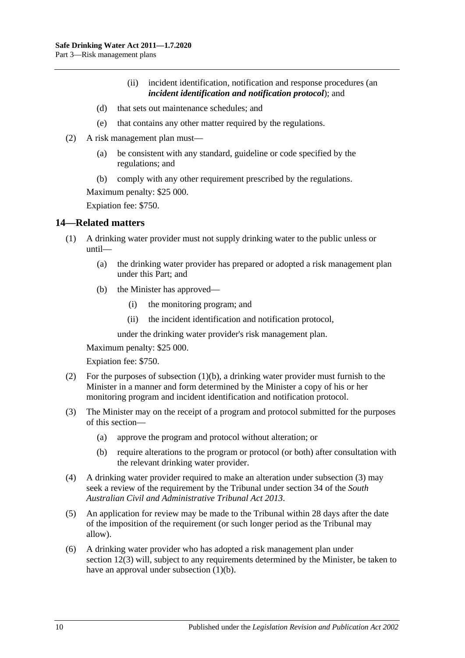- (ii) incident identification, notification and response procedures (an *incident identification and notification protocol*); and
- (d) that sets out maintenance schedules; and
- (e) that contains any other matter required by the regulations.
- (2) A risk management plan must—
	- (a) be consistent with any standard, guideline or code specified by the regulations; and
	- (b) comply with any other requirement prescribed by the regulations.

Maximum penalty: \$25 000.

Expiation fee: \$750.

#### <span id="page-9-0"></span>**14—Related matters**

- <span id="page-9-1"></span>(1) A drinking water provider must not supply drinking water to the public unless or until—
	- (a) the drinking water provider has prepared or adopted a risk management plan under this Part; and
	- (b) the Minister has approved—
		- (i) the monitoring program; and
		- (ii) the incident identification and notification protocol,

under the drinking water provider's risk management plan.

Maximum penalty: \$25 000.

Expiation fee: \$750.

- (2) For the purposes of [subsection](#page-9-1)  $(1)(b)$ , a drinking water provider must furnish to the Minister in a manner and form determined by the Minister a copy of his or her monitoring program and incident identification and notification protocol.
- <span id="page-9-2"></span>(3) The Minister may on the receipt of a program and protocol submitted for the purposes of this section—
	- (a) approve the program and protocol without alteration; or
	- (b) require alterations to the program or protocol (or both) after consultation with the relevant drinking water provider.
- (4) A drinking water provider required to make an alteration under [subsection](#page-9-2) (3) may seek a review of the requirement by the Tribunal under section 34 of the *[South](http://www.legislation.sa.gov.au/index.aspx?action=legref&type=act&legtitle=South%20Australian%20Civil%20and%20Administrative%20Tribunal%20Act%202013)  [Australian Civil and Administrative Tribunal Act](http://www.legislation.sa.gov.au/index.aspx?action=legref&type=act&legtitle=South%20Australian%20Civil%20and%20Administrative%20Tribunal%20Act%202013) 2013*.
- (5) An application for review may be made to the Tribunal within 28 days after the date of the imposition of the requirement (or such longer period as the Tribunal may allow).
- (6) A drinking water provider who has adopted a risk management plan under [section](#page-8-6) 12(3) will, subject to any requirements determined by the Minister, be taken to have an approval under [subsection](#page-9-1)  $(1)(b)$ .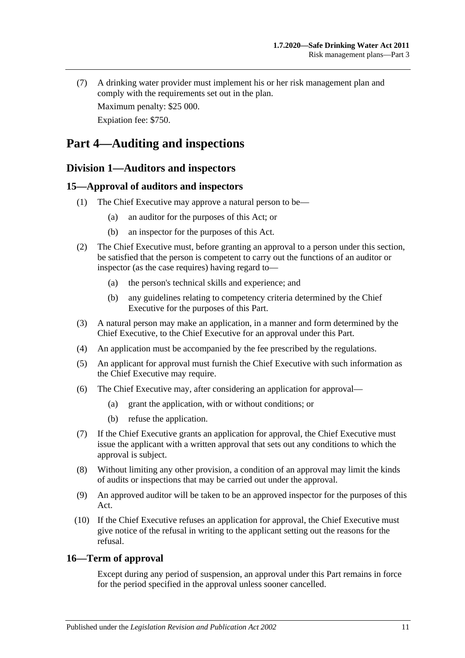(7) A drinking water provider must implement his or her risk management plan and comply with the requirements set out in the plan.

Maximum penalty: \$25 000. Expiation fee: \$750.

## <span id="page-10-0"></span>**Part 4—Auditing and inspections**

## <span id="page-10-1"></span>**Division 1—Auditors and inspectors**

### <span id="page-10-2"></span>**15—Approval of auditors and inspectors**

- (1) The Chief Executive may approve a natural person to be—
	- (a) an auditor for the purposes of this Act; or
	- (b) an inspector for the purposes of this Act.
- (2) The Chief Executive must, before granting an approval to a person under this section, be satisfied that the person is competent to carry out the functions of an auditor or inspector (as the case requires) having regard to—
	- (a) the person's technical skills and experience; and
	- (b) any guidelines relating to competency criteria determined by the Chief Executive for the purposes of this Part.
- (3) A natural person may make an application, in a manner and form determined by the Chief Executive, to the Chief Executive for an approval under this Part.
- (4) An application must be accompanied by the fee prescribed by the regulations.
- (5) An applicant for approval must furnish the Chief Executive with such information as the Chief Executive may require.
- (6) The Chief Executive may, after considering an application for approval—
	- (a) grant the application, with or without conditions; or
	- (b) refuse the application.
- (7) If the Chief Executive grants an application for approval, the Chief Executive must issue the applicant with a written approval that sets out any conditions to which the approval is subject.
- (8) Without limiting any other provision, a condition of an approval may limit the kinds of audits or inspections that may be carried out under the approval.
- (9) An approved auditor will be taken to be an approved inspector for the purposes of this Act.
- (10) If the Chief Executive refuses an application for approval, the Chief Executive must give notice of the refusal in writing to the applicant setting out the reasons for the refusal.

#### <span id="page-10-3"></span>**16—Term of approval**

Except during any period of suspension, an approval under this Part remains in force for the period specified in the approval unless sooner cancelled.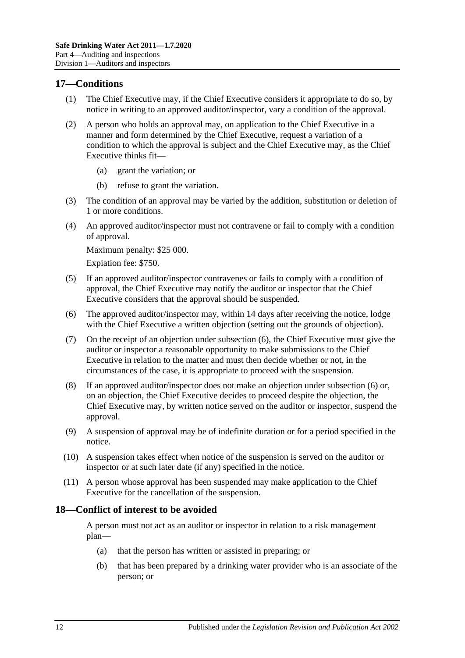#### <span id="page-11-0"></span>**17—Conditions**

- (1) The Chief Executive may, if the Chief Executive considers it appropriate to do so, by notice in writing to an approved auditor/inspector, vary a condition of the approval.
- (2) A person who holds an approval may, on application to the Chief Executive in a manner and form determined by the Chief Executive, request a variation of a condition to which the approval is subject and the Chief Executive may, as the Chief Executive thinks fit—
	- (a) grant the variation; or
	- (b) refuse to grant the variation.
- (3) The condition of an approval may be varied by the addition, substitution or deletion of 1 or more conditions.
- (4) An approved auditor/inspector must not contravene or fail to comply with a condition of approval.

Maximum penalty: \$25 000.

Expiation fee: \$750.

- (5) If an approved auditor/inspector contravenes or fails to comply with a condition of approval, the Chief Executive may notify the auditor or inspector that the Chief Executive considers that the approval should be suspended.
- <span id="page-11-2"></span>(6) The approved auditor/inspector may, within 14 days after receiving the notice, lodge with the Chief Executive a written objection (setting out the grounds of objection).
- (7) On the receipt of an objection under [subsection](#page-11-2) (6), the Chief Executive must give the auditor or inspector a reasonable opportunity to make submissions to the Chief Executive in relation to the matter and must then decide whether or not, in the circumstances of the case, it is appropriate to proceed with the suspension.
- (8) If an approved auditor/inspector does not make an objection under [subsection](#page-11-2) (6) or, on an objection, the Chief Executive decides to proceed despite the objection, the Chief Executive may, by written notice served on the auditor or inspector, suspend the approval.
- (9) A suspension of approval may be of indefinite duration or for a period specified in the notice.
- (10) A suspension takes effect when notice of the suspension is served on the auditor or inspector or at such later date (if any) specified in the notice.
- (11) A person whose approval has been suspended may make application to the Chief Executive for the cancellation of the suspension.

#### <span id="page-11-1"></span>**18—Conflict of interest to be avoided**

A person must not act as an auditor or inspector in relation to a risk management plan—

- (a) that the person has written or assisted in preparing; or
- (b) that has been prepared by a drinking water provider who is an associate of the person; or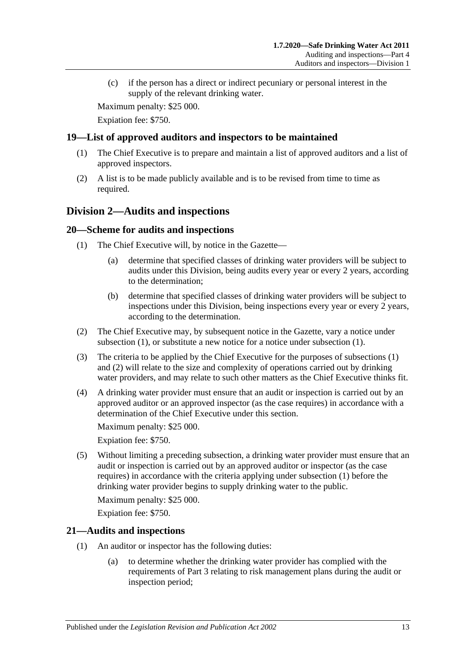(c) if the person has a direct or indirect pecuniary or personal interest in the supply of the relevant drinking water.

Maximum penalty: \$25 000.

Expiation fee: \$750.

#### <span id="page-12-0"></span>**19—List of approved auditors and inspectors to be maintained**

- (1) The Chief Executive is to prepare and maintain a list of approved auditors and a list of approved inspectors.
- (2) A list is to be made publicly available and is to be revised from time to time as required.

#### <span id="page-12-1"></span>**Division 2—Audits and inspections**

#### <span id="page-12-4"></span><span id="page-12-2"></span>**20—Scheme for audits and inspections**

- (1) The Chief Executive will, by notice in the Gazette—
	- (a) determine that specified classes of drinking water providers will be subject to audits under this Division, being audits every year or every 2 years, according to the determination;
	- (b) determine that specified classes of drinking water providers will be subject to inspections under this Division, being inspections every year or every 2 years, according to the determination.
- <span id="page-12-5"></span>(2) The Chief Executive may, by subsequent notice in the Gazette, vary a notice under [subsection](#page-12-4) (1), or substitute a new notice for a notice under [subsection](#page-12-4) (1).
- (3) The criteria to be applied by the Chief Executive for the purposes of [subsections](#page-12-4) (1) and [\(2\)](#page-12-5) will relate to the size and complexity of operations carried out by drinking water providers, and may relate to such other matters as the Chief Executive thinks fit.
- (4) A drinking water provider must ensure that an audit or inspection is carried out by an approved auditor or an approved inspector (as the case requires) in accordance with a determination of the Chief Executive under this section.

Maximum penalty: \$25 000.

Expiation fee: \$750.

<span id="page-12-6"></span>(5) Without limiting a preceding subsection, a drinking water provider must ensure that an audit or inspection is carried out by an approved auditor or inspector (as the case requires) in accordance with the criteria applying under [subsection](#page-12-4) (1) before the drinking water provider begins to supply drinking water to the public.

Maximum penalty: \$25 000.

Expiation fee: \$750.

#### <span id="page-12-3"></span>**21—Audits and inspections**

- (1) An auditor or inspector has the following duties:
	- (a) to determine whether the drinking water provider has complied with the requirements of [Part](#page-8-1) 3 relating to risk management plans during the audit or inspection period;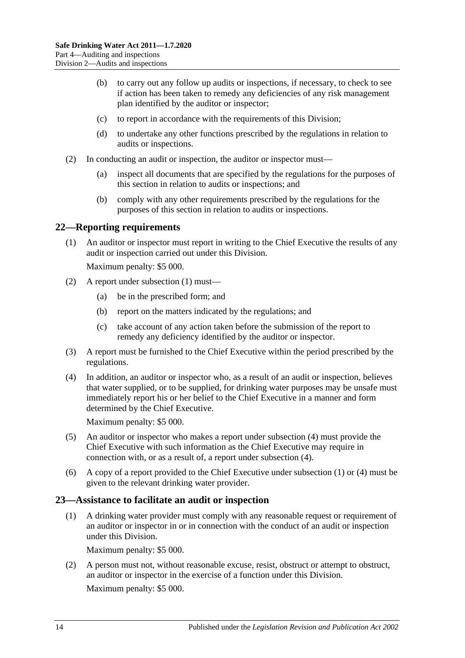- (b) to carry out any follow up audits or inspections, if necessary, to check to see if action has been taken to remedy any deficiencies of any risk management plan identified by the auditor or inspector;
- (c) to report in accordance with the requirements of this Division;
- (d) to undertake any other functions prescribed by the regulations in relation to audits or inspections.
- (2) In conducting an audit or inspection, the auditor or inspector must—
	- (a) inspect all documents that are specified by the regulations for the purposes of this section in relation to audits or inspections; and
	- (b) comply with any other requirements prescribed by the regulations for the purposes of this section in relation to audits or inspections.

#### <span id="page-13-2"></span><span id="page-13-0"></span>**22—Reporting requirements**

(1) An auditor or inspector must report in writing to the Chief Executive the results of any audit or inspection carried out under this Division.

Maximum penalty: \$5 000.

- (2) A report under [subsection](#page-13-2) (1) must—
	- (a) be in the prescribed form; and
	- (b) report on the matters indicated by the regulations; and
	- (c) take account of any action taken before the submission of the report to remedy any deficiency identified by the auditor or inspector.
- (3) A report must be furnished to the Chief Executive within the period prescribed by the regulations.
- <span id="page-13-3"></span>(4) In addition, an auditor or inspector who, as a result of an audit or inspection, believes that water supplied, or to be supplied, for drinking water purposes may be unsafe must immediately report his or her belief to the Chief Executive in a manner and form determined by the Chief Executive.

Maximum penalty: \$5 000.

- (5) An auditor or inspector who makes a report under [subsection](#page-13-3) (4) must provide the Chief Executive with such information as the Chief Executive may require in connection with, or as a result of, a report under [subsection](#page-13-3) (4).
- (6) A copy of a report provided to the Chief Executive under [subsection](#page-13-2) (1) or [\(4\)](#page-13-3) must be given to the relevant drinking water provider.

#### <span id="page-13-1"></span>**23—Assistance to facilitate an audit or inspection**

(1) A drinking water provider must comply with any reasonable request or requirement of an auditor or inspector in or in connection with the conduct of an audit or inspection under this Division.

Maximum penalty: \$5 000.

(2) A person must not, without reasonable excuse, resist, obstruct or attempt to obstruct, an auditor or inspector in the exercise of a function under this Division. Maximum penalty: \$5 000.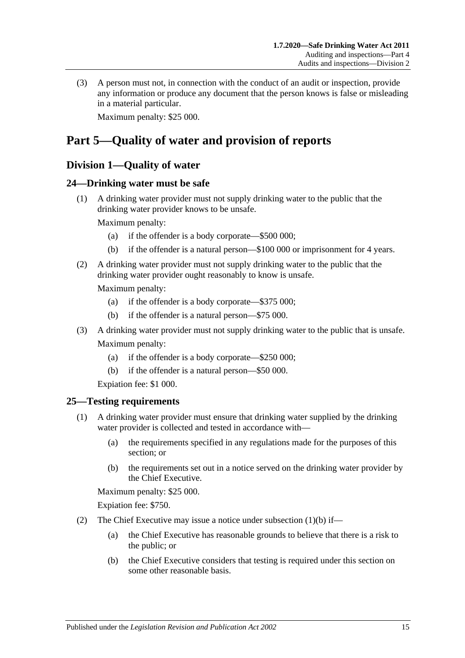(3) A person must not, in connection with the conduct of an audit or inspection, provide any information or produce any document that the person knows is false or misleading in a material particular.

Maximum penalty: \$25 000.

## <span id="page-14-0"></span>**Part 5—Quality of water and provision of reports**

### <span id="page-14-1"></span>**Division 1—Quality of water**

#### <span id="page-14-2"></span>**24—Drinking water must be safe**

(1) A drinking water provider must not supply drinking water to the public that the drinking water provider knows to be unsafe.

Maximum penalty:

- (a) if the offender is a body corporate—\$500 000;
- (b) if the offender is a natural person—\$100 000 or imprisonment for 4 years.
- (2) A drinking water provider must not supply drinking water to the public that the drinking water provider ought reasonably to know is unsafe.

Maximum penalty:

- (a) if the offender is a body corporate—\$375 000;
- (b) if the offender is a natural person—\$75 000.
- (3) A drinking water provider must not supply drinking water to the public that is unsafe. Maximum penalty:
	- (a) if the offender is a body corporate—\$250 000;
	- (b) if the offender is a natural person—\$50 000.

Expiation fee: \$1 000.

#### <span id="page-14-5"></span><span id="page-14-3"></span>**25—Testing requirements**

- (1) A drinking water provider must ensure that drinking water supplied by the drinking water provider is collected and tested in accordance with—
	- (a) the requirements specified in any regulations made for the purposes of this section; or
	- (b) the requirements set out in a notice served on the drinking water provider by the Chief Executive.

<span id="page-14-4"></span>Maximum penalty: \$25 000.

Expiation fee: \$750.

- (2) The Chief Executive may issue a notice under [subsection](#page-14-4)  $(1)(b)$  if—
	- (a) the Chief Executive has reasonable grounds to believe that there is a risk to the public; or
	- (b) the Chief Executive considers that testing is required under this section on some other reasonable basis.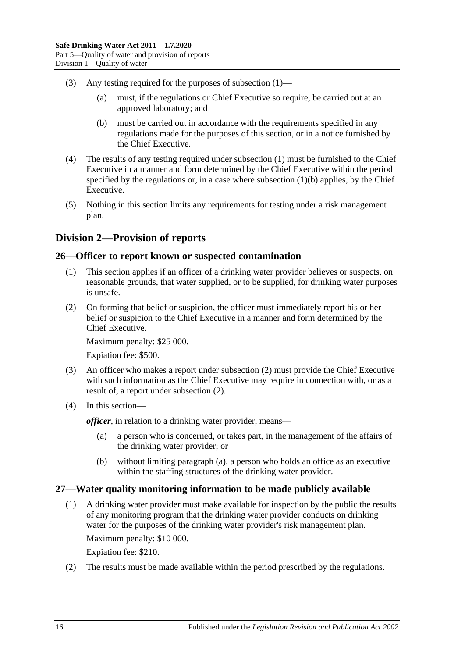- (3) Any testing required for the purposes of [subsection](#page-14-5) (1)—
	- (a) must, if the regulations or Chief Executive so require, be carried out at an approved laboratory; and
	- (b) must be carried out in accordance with the requirements specified in any regulations made for the purposes of this section, or in a notice furnished by the Chief Executive.
- (4) The results of any testing required under [subsection](#page-14-5) (1) must be furnished to the Chief Executive in a manner and form determined by the Chief Executive within the period specified by the regulations or, in a case where [subsection](#page-14-4)  $(1)(b)$  applies, by the Chief Executive.
- (5) Nothing in this section limits any requirements for testing under a risk management plan.

### <span id="page-15-0"></span>**Division 2—Provision of reports**

#### <span id="page-15-1"></span>**26—Officer to report known or suspected contamination**

- (1) This section applies if an officer of a drinking water provider believes or suspects, on reasonable grounds, that water supplied, or to be supplied, for drinking water purposes is unsafe.
- <span id="page-15-3"></span>(2) On forming that belief or suspicion, the officer must immediately report his or her belief or suspicion to the Chief Executive in a manner and form determined by the Chief Executive.

Maximum penalty: \$25 000.

Expiation fee: \$500.

- (3) An officer who makes a report under [subsection](#page-15-3) (2) must provide the Chief Executive with such information as the Chief Executive may require in connection with, or as a result of, a report under [subsection](#page-15-3) (2).
- <span id="page-15-4"></span>(4) In this section—

*officer*, in relation to a drinking water provider, means—

- (a) a person who is concerned, or takes part, in the management of the affairs of the drinking water provider; or
- (b) without limiting [paragraph](#page-15-4) (a), a person who holds an office as an executive within the staffing structures of the drinking water provider.

#### <span id="page-15-2"></span>**27—Water quality monitoring information to be made publicly available**

(1) A drinking water provider must make available for inspection by the public the results of any monitoring program that the drinking water provider conducts on drinking water for the purposes of the drinking water provider's risk management plan.

Maximum penalty: \$10 000.

Expiation fee: \$210.

(2) The results must be made available within the period prescribed by the regulations.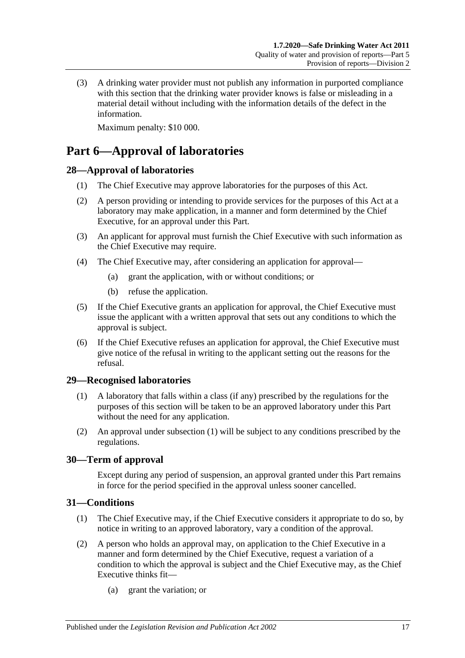(3) A drinking water provider must not publish any information in purported compliance with this section that the drinking water provider knows is false or misleading in a material detail without including with the information details of the defect in the information.

Maximum penalty: \$10 000.

## <span id="page-16-0"></span>**Part 6—Approval of laboratories**

#### <span id="page-16-1"></span>**28—Approval of laboratories**

- (1) The Chief Executive may approve laboratories for the purposes of this Act.
- (2) A person providing or intending to provide services for the purposes of this Act at a laboratory may make application, in a manner and form determined by the Chief Executive, for an approval under this Part.
- (3) An applicant for approval must furnish the Chief Executive with such information as the Chief Executive may require.
- (4) The Chief Executive may, after considering an application for approval—
	- (a) grant the application, with or without conditions; or
	- (b) refuse the application.
- (5) If the Chief Executive grants an application for approval, the Chief Executive must issue the applicant with a written approval that sets out any conditions to which the approval is subject.
- (6) If the Chief Executive refuses an application for approval, the Chief Executive must give notice of the refusal in writing to the applicant setting out the reasons for the refusal.

#### <span id="page-16-5"></span><span id="page-16-2"></span>**29—Recognised laboratories**

- (1) A laboratory that falls within a class (if any) prescribed by the regulations for the purposes of this section will be taken to be an approved laboratory under this Part without the need for any application.
- (2) An approval under [subsection](#page-16-5) (1) will be subject to any conditions prescribed by the regulations.

#### <span id="page-16-3"></span>**30—Term of approval**

Except during any period of suspension, an approval granted under this Part remains in force for the period specified in the approval unless sooner cancelled.

#### <span id="page-16-4"></span>**31—Conditions**

- (1) The Chief Executive may, if the Chief Executive considers it appropriate to do so, by notice in writing to an approved laboratory, vary a condition of the approval.
- (2) A person who holds an approval may, on application to the Chief Executive in a manner and form determined by the Chief Executive, request a variation of a condition to which the approval is subject and the Chief Executive may, as the Chief Executive thinks fit—
	- (a) grant the variation; or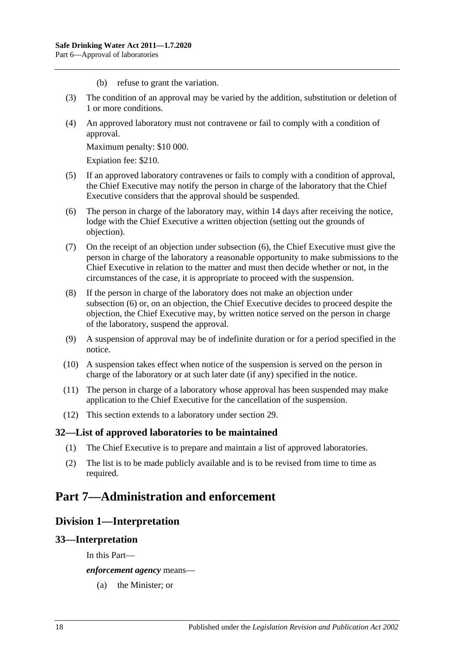- (b) refuse to grant the variation.
- (3) The condition of an approval may be varied by the addition, substitution or deletion of 1 or more conditions.
- (4) An approved laboratory must not contravene or fail to comply with a condition of approval.

Maximum penalty: \$10 000.

Expiation fee: \$210.

- (5) If an approved laboratory contravenes or fails to comply with a condition of approval, the Chief Executive may notify the person in charge of the laboratory that the Chief Executive considers that the approval should be suspended.
- <span id="page-17-4"></span>(6) The person in charge of the laboratory may, within 14 days after receiving the notice, lodge with the Chief Executive a written objection (setting out the grounds of objection).
- (7) On the receipt of an objection under [subsection](#page-17-4) (6), the Chief Executive must give the person in charge of the laboratory a reasonable opportunity to make submissions to the Chief Executive in relation to the matter and must then decide whether or not, in the circumstances of the case, it is appropriate to proceed with the suspension.
- (8) If the person in charge of the laboratory does not make an objection under [subsection](#page-17-4) (6) or, on an objection, the Chief Executive decides to proceed despite the objection, the Chief Executive may, by written notice served on the person in charge of the laboratory, suspend the approval.
- (9) A suspension of approval may be of indefinite duration or for a period specified in the notice.
- (10) A suspension takes effect when notice of the suspension is served on the person in charge of the laboratory or at such later date (if any) specified in the notice.
- (11) The person in charge of a laboratory whose approval has been suspended may make application to the Chief Executive for the cancellation of the suspension.
- (12) This section extends to a laboratory under [section](#page-16-2) 29.

#### <span id="page-17-0"></span>**32—List of approved laboratories to be maintained**

- (1) The Chief Executive is to prepare and maintain a list of approved laboratories.
- (2) The list is to be made publicly available and is to be revised from time to time as required.

## <span id="page-17-2"></span><span id="page-17-1"></span>**Part 7—Administration and enforcement**

#### **Division 1—Interpretation**

#### <span id="page-17-3"></span>**33—Interpretation**

In this Part—

*enforcement agency* means—

(a) the Minister; or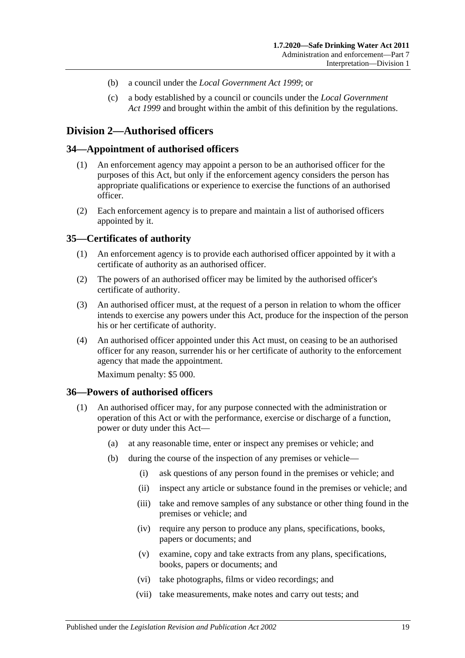- (b) a council under the *[Local Government Act](http://www.legislation.sa.gov.au/index.aspx?action=legref&type=act&legtitle=Local%20Government%20Act%201999) 1999*; or
- (c) a body established by a council or councils under the *[Local Government](http://www.legislation.sa.gov.au/index.aspx?action=legref&type=act&legtitle=Local%20Government%20Act%201999)  Act [1999](http://www.legislation.sa.gov.au/index.aspx?action=legref&type=act&legtitle=Local%20Government%20Act%201999)* and brought within the ambit of this definition by the regulations.

#### <span id="page-18-0"></span>**Division 2—Authorised officers**

#### <span id="page-18-1"></span>**34—Appointment of authorised officers**

- (1) An enforcement agency may appoint a person to be an authorised officer for the purposes of this Act, but only if the enforcement agency considers the person has appropriate qualifications or experience to exercise the functions of an authorised officer.
- (2) Each enforcement agency is to prepare and maintain a list of authorised officers appointed by it.

#### <span id="page-18-2"></span>**35—Certificates of authority**

- (1) An enforcement agency is to provide each authorised officer appointed by it with a certificate of authority as an authorised officer.
- (2) The powers of an authorised officer may be limited by the authorised officer's certificate of authority.
- (3) An authorised officer must, at the request of a person in relation to whom the officer intends to exercise any powers under this Act, produce for the inspection of the person his or her certificate of authority.
- (4) An authorised officer appointed under this Act must, on ceasing to be an authorised officer for any reason, surrender his or her certificate of authority to the enforcement agency that made the appointment.

Maximum penalty: \$5 000.

#### <span id="page-18-3"></span>**36—Powers of authorised officers**

- (1) An authorised officer may, for any purpose connected with the administration or operation of this Act or with the performance, exercise or discharge of a function, power or duty under this Act—
	- (a) at any reasonable time, enter or inspect any premises or vehicle; and
	- (b) during the course of the inspection of any premises or vehicle—
		- (i) ask questions of any person found in the premises or vehicle; and
		- (ii) inspect any article or substance found in the premises or vehicle; and
		- (iii) take and remove samples of any substance or other thing found in the premises or vehicle; and
		- (iv) require any person to produce any plans, specifications, books, papers or documents; and
		- (v) examine, copy and take extracts from any plans, specifications, books, papers or documents; and
		- (vi) take photographs, films or video recordings; and
		- (vii) take measurements, make notes and carry out tests; and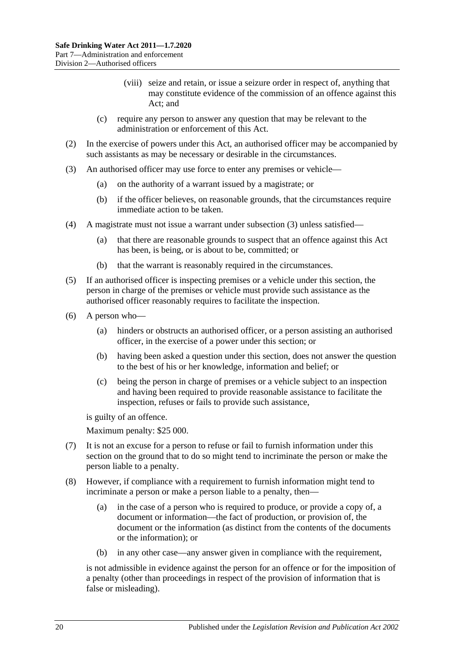- (viii) seize and retain, or issue a seizure order in respect of, anything that may constitute evidence of the commission of an offence against this Act; and
- (c) require any person to answer any question that may be relevant to the administration or enforcement of this Act.
- (2) In the exercise of powers under this Act, an authorised officer may be accompanied by such assistants as may be necessary or desirable in the circumstances.
- <span id="page-19-0"></span>(3) An authorised officer may use force to enter any premises or vehicle—
	- (a) on the authority of a warrant issued by a magistrate; or
	- (b) if the officer believes, on reasonable grounds, that the circumstances require immediate action to be taken.
- (4) A magistrate must not issue a warrant under [subsection](#page-19-0) (3) unless satisfied—
	- (a) that there are reasonable grounds to suspect that an offence against this Act has been, is being, or is about to be, committed; or
	- (b) that the warrant is reasonably required in the circumstances.
- (5) If an authorised officer is inspecting premises or a vehicle under this section, the person in charge of the premises or vehicle must provide such assistance as the authorised officer reasonably requires to facilitate the inspection.
- (6) A person who—
	- (a) hinders or obstructs an authorised officer, or a person assisting an authorised officer, in the exercise of a power under this section; or
	- (b) having been asked a question under this section, does not answer the question to the best of his or her knowledge, information and belief; or
	- (c) being the person in charge of premises or a vehicle subject to an inspection and having been required to provide reasonable assistance to facilitate the inspection, refuses or fails to provide such assistance,

is guilty of an offence.

Maximum penalty: \$25 000.

- (7) It is not an excuse for a person to refuse or fail to furnish information under this section on the ground that to do so might tend to incriminate the person or make the person liable to a penalty.
- (8) However, if compliance with a requirement to furnish information might tend to incriminate a person or make a person liable to a penalty, then—
	- (a) in the case of a person who is required to produce, or provide a copy of, a document or information—the fact of production, or provision of, the document or the information (as distinct from the contents of the documents or the information); or
	- (b) in any other case—any answer given in compliance with the requirement,

is not admissible in evidence against the person for an offence or for the imposition of a penalty (other than proceedings in respect of the provision of information that is false or misleading).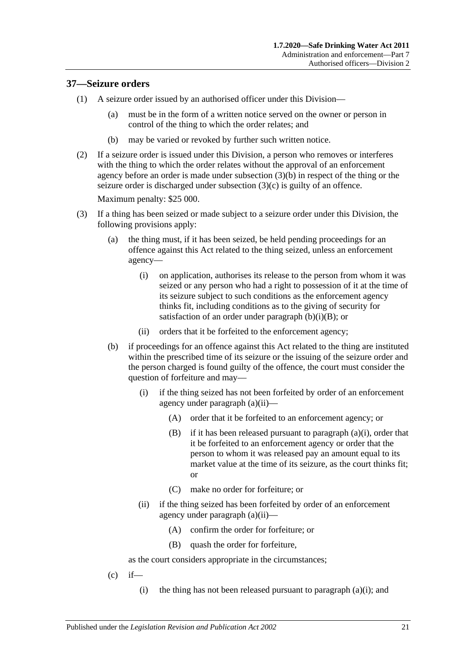#### <span id="page-20-0"></span>**37—Seizure orders**

- (1) A seizure order issued by an authorised officer under this Division—
	- (a) must be in the form of a written notice served on the owner or person in control of the thing to which the order relates; and
	- (b) may be varied or revoked by further such written notice.
- (2) If a seizure order is issued under this Division, a person who removes or interferes with the thing to which the order relates without the approval of an enforcement agency before an order is made under [subsection](#page-20-1) (3)(b) in respect of the thing or the seizure order is discharged under [subsection](#page-20-2) (3)(c) is guilty of an offence.

Maximum penalty: \$25 000.

- <span id="page-20-6"></span><span id="page-20-5"></span><span id="page-20-4"></span><span id="page-20-1"></span>(3) If a thing has been seized or made subject to a seizure order under this Division, the following provisions apply:
	- (a) the thing must, if it has been seized, be held pending proceedings for an offence against this Act related to the thing seized, unless an enforcement agency—
		- (i) on application, authorises its release to the person from whom it was seized or any person who had a right to possession of it at the time of its seizure subject to such conditions as the enforcement agency thinks fit, including conditions as to the giving of security for satisfaction of an order under [paragraph](#page-20-3)  $(b)(i)(B)$ ; or
		- (ii) orders that it be forfeited to the enforcement agency;
	- (b) if proceedings for an offence against this Act related to the thing are instituted within the prescribed time of its seizure or the issuing of the seizure order and the person charged is found guilty of the offence, the court must consider the question of forfeiture and may—
		- (i) if the thing seized has not been forfeited by order of an enforcement agency under [paragraph](#page-20-4) (a)(ii)—
			- (A) order that it be forfeited to an enforcement agency; or
			- $(B)$  if it has been released pursuant to [paragraph](#page-20-5)  $(a)(i)$ , order that it be forfeited to an enforcement agency or order that the person to whom it was released pay an amount equal to its market value at the time of its seizure, as the court thinks fit; or
			- (C) make no order for forfeiture; or
		- (ii) if the thing seized has been forfeited by order of an enforcement agency under [paragraph](#page-20-4) (a)(ii)—
			- (A) confirm the order for forfeiture; or
			- (B) quash the order for forfeiture,

<span id="page-20-7"></span><span id="page-20-3"></span>as the court considers appropriate in the circumstances;

- <span id="page-20-2"></span> $(c)$  if
	- (i) the thing has not been released pursuant to [paragraph](#page-20-5)  $(a)(i)$ ; and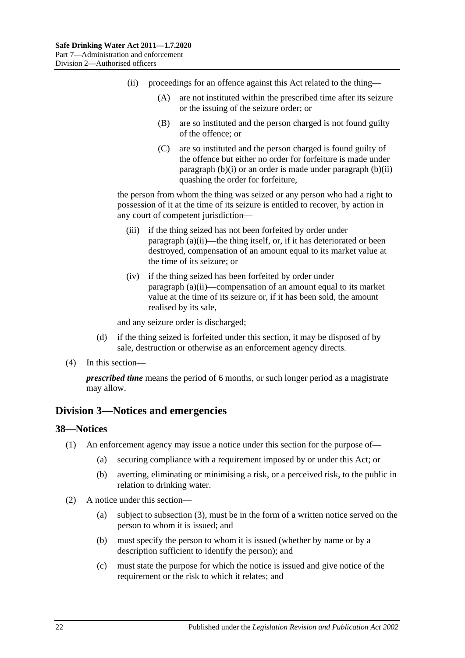- (ii) proceedings for an offence against this Act related to the thing—
	- (A) are not instituted within the prescribed time after its seizure or the issuing of the seizure order; or
	- (B) are so instituted and the person charged is not found guilty of the offence; or
	- (C) are so instituted and the person charged is found guilty of the offence but either no order for forfeiture is made under [paragraph](#page-20-6)  $(b)(i)$  or an order is made under [paragraph](#page-20-7)  $(b)(ii)$ quashing the order for forfeiture,

the person from whom the thing was seized or any person who had a right to possession of it at the time of its seizure is entitled to recover, by action in any court of competent jurisdiction—

- (iii) if the thing seized has not been forfeited by order under [paragraph](#page-20-4) (a)(ii)—the thing itself, or, if it has deteriorated or been destroyed, compensation of an amount equal to its market value at the time of its seizure; or
- (iv) if the thing seized has been forfeited by order under [paragraph](#page-20-4) (a)(ii)—compensation of an amount equal to its market value at the time of its seizure or, if it has been sold, the amount realised by its sale,

and any seizure order is discharged;

- (d) if the thing seized is forfeited under this section, it may be disposed of by sale, destruction or otherwise as an enforcement agency directs.
- (4) In this section—

*prescribed time* means the period of 6 months, or such longer period as a magistrate may allow.

#### <span id="page-21-0"></span>**Division 3—Notices and emergencies**

#### <span id="page-21-1"></span>**38—Notices**

- (1) An enforcement agency may issue a notice under this section for the purpose of—
	- (a) securing compliance with a requirement imposed by or under this Act; or
	- (b) averting, eliminating or minimising a risk, or a perceived risk, to the public in relation to drinking water.
- (2) A notice under this section—
	- (a) subject to [subsection](#page-22-0) (3), must be in the form of a written notice served on the person to whom it is issued; and
	- (b) must specify the person to whom it is issued (whether by name or by a description sufficient to identify the person); and
	- (c) must state the purpose for which the notice is issued and give notice of the requirement or the risk to which it relates; and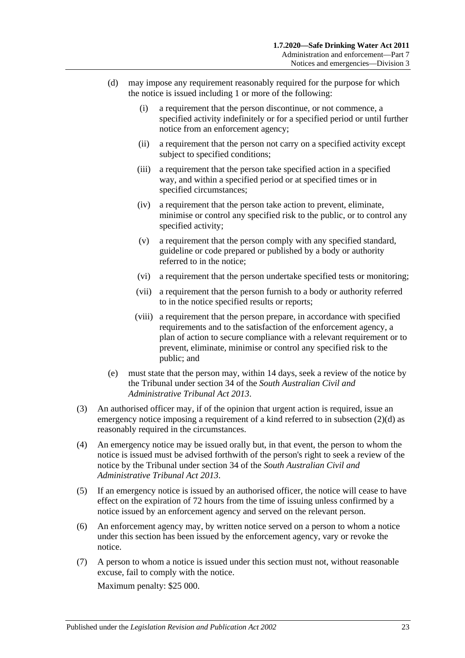- <span id="page-22-1"></span>(d) may impose any requirement reasonably required for the purpose for which the notice is issued including 1 or more of the following:
	- (i) a requirement that the person discontinue, or not commence, a specified activity indefinitely or for a specified period or until further notice from an enforcement agency;
	- (ii) a requirement that the person not carry on a specified activity except subject to specified conditions;
	- (iii) a requirement that the person take specified action in a specified way, and within a specified period or at specified times or in specified circumstances;
	- (iv) a requirement that the person take action to prevent, eliminate, minimise or control any specified risk to the public, or to control any specified activity;
	- (v) a requirement that the person comply with any specified standard, guideline or code prepared or published by a body or authority referred to in the notice;
	- (vi) a requirement that the person undertake specified tests or monitoring;
	- (vii) a requirement that the person furnish to a body or authority referred to in the notice specified results or reports;
	- (viii) a requirement that the person prepare, in accordance with specified requirements and to the satisfaction of the enforcement agency, a plan of action to secure compliance with a relevant requirement or to prevent, eliminate, minimise or control any specified risk to the public; and
- (e) must state that the person may, within 14 days, seek a review of the notice by the Tribunal under section 34 of the *[South Australian Civil and](http://www.legislation.sa.gov.au/index.aspx?action=legref&type=act&legtitle=South%20Australian%20Civil%20and%20Administrative%20Tribunal%20Act%202013)  [Administrative Tribunal Act](http://www.legislation.sa.gov.au/index.aspx?action=legref&type=act&legtitle=South%20Australian%20Civil%20and%20Administrative%20Tribunal%20Act%202013) 2013*.
- <span id="page-22-0"></span>(3) An authorised officer may, if of the opinion that urgent action is required, issue an emergency notice imposing a requirement of a kind referred to in [subsection](#page-22-1) (2)(d) as reasonably required in the circumstances.
- (4) An emergency notice may be issued orally but, in that event, the person to whom the notice is issued must be advised forthwith of the person's right to seek a review of the notice by the Tribunal under section 34 of the *[South Australian Civil and](http://www.legislation.sa.gov.au/index.aspx?action=legref&type=act&legtitle=South%20Australian%20Civil%20and%20Administrative%20Tribunal%20Act%202013)  [Administrative Tribunal Act](http://www.legislation.sa.gov.au/index.aspx?action=legref&type=act&legtitle=South%20Australian%20Civil%20and%20Administrative%20Tribunal%20Act%202013) 2013*.
- (5) If an emergency notice is issued by an authorised officer, the notice will cease to have effect on the expiration of 72 hours from the time of issuing unless confirmed by a notice issued by an enforcement agency and served on the relevant person.
- (6) An enforcement agency may, by written notice served on a person to whom a notice under this section has been issued by the enforcement agency, vary or revoke the notice.
- (7) A person to whom a notice is issued under this section must not, without reasonable excuse, fail to comply with the notice. Maximum penalty: \$25 000.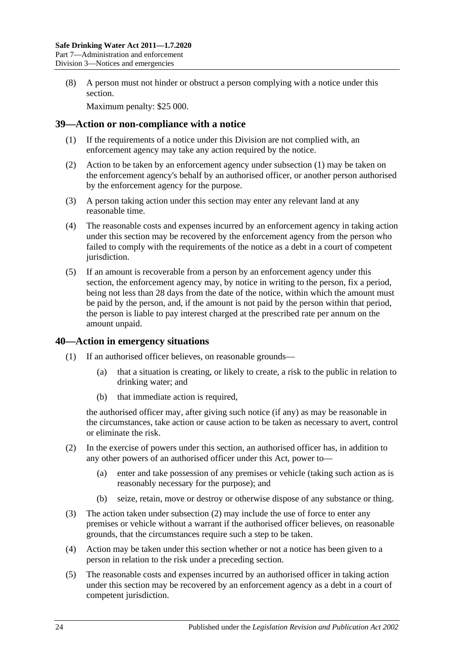(8) A person must not hinder or obstruct a person complying with a notice under this section.

Maximum penalty: \$25 000.

#### <span id="page-23-2"></span><span id="page-23-0"></span>**39—Action or non-compliance with a notice**

- (1) If the requirements of a notice under this Division are not complied with, an enforcement agency may take any action required by the notice.
- (2) Action to be taken by an enforcement agency under [subsection](#page-23-2) (1) may be taken on the enforcement agency's behalf by an authorised officer, or another person authorised by the enforcement agency for the purpose.
- (3) A person taking action under this section may enter any relevant land at any reasonable time.
- (4) The reasonable costs and expenses incurred by an enforcement agency in taking action under this section may be recovered by the enforcement agency from the person who failed to comply with the requirements of the notice as a debt in a court of competent jurisdiction.
- (5) If an amount is recoverable from a person by an enforcement agency under this section, the enforcement agency may, by notice in writing to the person, fix a period, being not less than 28 days from the date of the notice, within which the amount must be paid by the person, and, if the amount is not paid by the person within that period, the person is liable to pay interest charged at the prescribed rate per annum on the amount unpaid.

#### <span id="page-23-1"></span>**40—Action in emergency situations**

- (1) If an authorised officer believes, on reasonable grounds—
	- (a) that a situation is creating, or likely to create, a risk to the public in relation to drinking water; and
	- (b) that immediate action is required,

the authorised officer may, after giving such notice (if any) as may be reasonable in the circumstances, take action or cause action to be taken as necessary to avert, control or eliminate the risk.

- <span id="page-23-3"></span>(2) In the exercise of powers under this section, an authorised officer has, in addition to any other powers of an authorised officer under this Act, power to—
	- (a) enter and take possession of any premises or vehicle (taking such action as is reasonably necessary for the purpose); and
	- (b) seize, retain, move or destroy or otherwise dispose of any substance or thing.
- (3) The action taken under [subsection](#page-23-3) (2) may include the use of force to enter any premises or vehicle without a warrant if the authorised officer believes, on reasonable grounds, that the circumstances require such a step to be taken.
- (4) Action may be taken under this section whether or not a notice has been given to a person in relation to the risk under a preceding section.
- (5) The reasonable costs and expenses incurred by an authorised officer in taking action under this section may be recovered by an enforcement agency as a debt in a court of competent jurisdiction.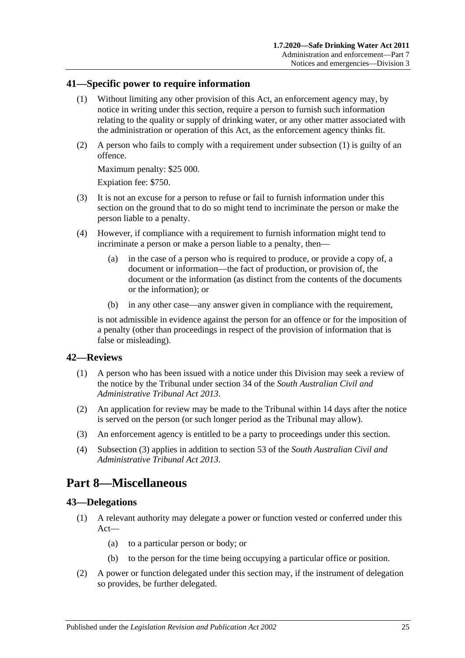#### <span id="page-24-4"></span><span id="page-24-0"></span>**41—Specific power to require information**

- (1) Without limiting any other provision of this Act, an enforcement agency may, by notice in writing under this section, require a person to furnish such information relating to the quality or supply of drinking water, or any other matter associated with the administration or operation of this Act, as the enforcement agency thinks fit.
- (2) A person who fails to comply with a requirement under [subsection](#page-24-4) (1) is guilty of an offence.

Maximum penalty: \$25 000.

Expiation fee: \$750.

- (3) It is not an excuse for a person to refuse or fail to furnish information under this section on the ground that to do so might tend to incriminate the person or make the person liable to a penalty.
- (4) However, if compliance with a requirement to furnish information might tend to incriminate a person or make a person liable to a penalty, then—
	- (a) in the case of a person who is required to produce, or provide a copy of, a document or information—the fact of production, or provision of, the document or the information (as distinct from the contents of the documents or the information); or
	- (b) in any other case—any answer given in compliance with the requirement,

is not admissible in evidence against the person for an offence or for the imposition of a penalty (other than proceedings in respect of the provision of information that is false or misleading).

#### <span id="page-24-1"></span>**42—Reviews**

- (1) A person who has been issued with a notice under this Division may seek a review of the notice by the Tribunal under section 34 of the *[South Australian Civil and](http://www.legislation.sa.gov.au/index.aspx?action=legref&type=act&legtitle=South%20Australian%20Civil%20and%20Administrative%20Tribunal%20Act%202013)  [Administrative Tribunal Act](http://www.legislation.sa.gov.au/index.aspx?action=legref&type=act&legtitle=South%20Australian%20Civil%20and%20Administrative%20Tribunal%20Act%202013) 2013*.
- (2) An application for review may be made to the Tribunal within 14 days after the notice is served on the person (or such longer period as the Tribunal may allow).
- (3) An enforcement agency is entitled to be a party to proceedings under this section.
- (4) Subsection (3) applies in addition to section 53 of the *[South Australian Civil and](http://www.legislation.sa.gov.au/index.aspx?action=legref&type=act&legtitle=South%20Australian%20Civil%20and%20Administrative%20Tribunal%20Act%202013)  [Administrative Tribunal Act](http://www.legislation.sa.gov.au/index.aspx?action=legref&type=act&legtitle=South%20Australian%20Civil%20and%20Administrative%20Tribunal%20Act%202013) 2013*.

## <span id="page-24-2"></span>**Part 8—Miscellaneous**

#### <span id="page-24-3"></span>**43—Delegations**

- (1) A relevant authority may delegate a power or function vested or conferred under this Act—
	- (a) to a particular person or body; or
	- (b) to the person for the time being occupying a particular office or position.
- (2) A power or function delegated under this section may, if the instrument of delegation so provides, be further delegated.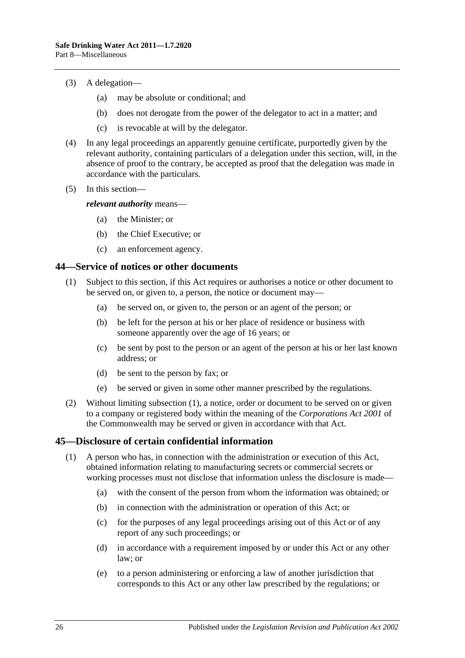- (3) A delegation—
	- (a) may be absolute or conditional; and
	- (b) does not derogate from the power of the delegator to act in a matter; and
	- (c) is revocable at will by the delegator.
- (4) In any legal proceedings an apparently genuine certificate, purportedly given by the relevant authority, containing particulars of a delegation under this section, will, in the absence of proof to the contrary, be accepted as proof that the delegation was made in accordance with the particulars.
- (5) In this section—

*relevant authority* means—

- (a) the Minister; or
- (b) the Chief Executive; or
- (c) an enforcement agency.

#### <span id="page-25-2"></span><span id="page-25-0"></span>**44—Service of notices or other documents**

- (1) Subject to this section, if this Act requires or authorises a notice or other document to be served on, or given to, a person, the notice or document may—
	- (a) be served on, or given to, the person or an agent of the person; or
	- (b) be left for the person at his or her place of residence or business with someone apparently over the age of 16 years; or
	- (c) be sent by post to the person or an agent of the person at his or her last known address; or
	- (d) be sent to the person by fax; or
	- (e) be served or given in some other manner prescribed by the regulations.
- (2) Without limiting [subsection](#page-25-2) (1), a notice, order or document to be served on or given to a company or registered body within the meaning of the *Corporations Act 2001* of the Commonwealth may be served or given in accordance with that Act.

#### <span id="page-25-1"></span>**45—Disclosure of certain confidential information**

- (1) A person who has, in connection with the administration or execution of this Act, obtained information relating to manufacturing secrets or commercial secrets or working processes must not disclose that information unless the disclosure is made—
	- (a) with the consent of the person from whom the information was obtained; or
	- (b) in connection with the administration or operation of this Act; or
	- (c) for the purposes of any legal proceedings arising out of this Act or of any report of any such proceedings; or
	- (d) in accordance with a requirement imposed by or under this Act or any other law; or
	- (e) to a person administering or enforcing a law of another jurisdiction that corresponds to this Act or any other law prescribed by the regulations; or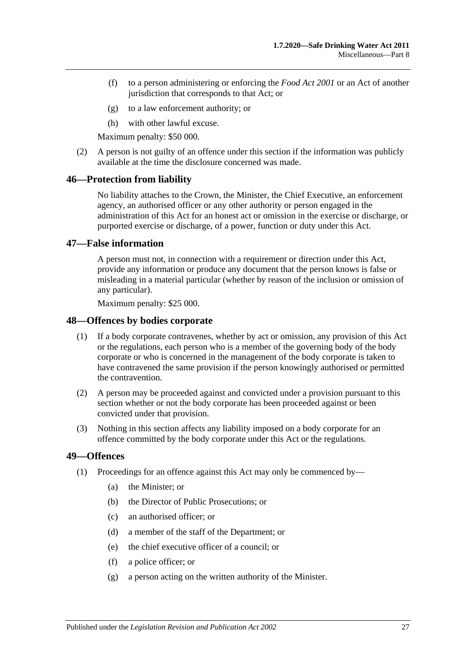- (f) to a person administering or enforcing the *[Food Act](http://www.legislation.sa.gov.au/index.aspx?action=legref&type=act&legtitle=Food%20Act%202001) 2001* or an Act of another jurisdiction that corresponds to that Act; or
- (g) to a law enforcement authority; or
- (h) with other lawful excuse.

Maximum penalty: \$50 000.

(2) A person is not guilty of an offence under this section if the information was publicly available at the time the disclosure concerned was made.

#### <span id="page-26-0"></span>**46—Protection from liability**

No liability attaches to the Crown, the Minister, the Chief Executive, an enforcement agency, an authorised officer or any other authority or person engaged in the administration of this Act for an honest act or omission in the exercise or discharge, or purported exercise or discharge, of a power, function or duty under this Act.

#### <span id="page-26-1"></span>**47—False information**

A person must not, in connection with a requirement or direction under this Act, provide any information or produce any document that the person knows is false or misleading in a material particular (whether by reason of the inclusion or omission of any particular).

Maximum penalty: \$25 000.

#### <span id="page-26-2"></span>**48—Offences by bodies corporate**

- (1) If a body corporate contravenes, whether by act or omission, any provision of this Act or the regulations, each person who is a member of the governing body of the body corporate or who is concerned in the management of the body corporate is taken to have contravened the same provision if the person knowingly authorised or permitted the contravention.
- (2) A person may be proceeded against and convicted under a provision pursuant to this section whether or not the body corporate has been proceeded against or been convicted under that provision.
- (3) Nothing in this section affects any liability imposed on a body corporate for an offence committed by the body corporate under this Act or the regulations.

#### <span id="page-26-3"></span>**49—Offences**

- <span id="page-26-4"></span>(1) Proceedings for an offence against this Act may only be commenced by—
	- (a) the Minister; or
	- (b) the Director of Public Prosecutions; or
	- (c) an authorised officer; or
	- (d) a member of the staff of the Department; or
	- (e) the chief executive officer of a council; or
	- (f) a police officer; or
	- (g) a person acting on the written authority of the Minister.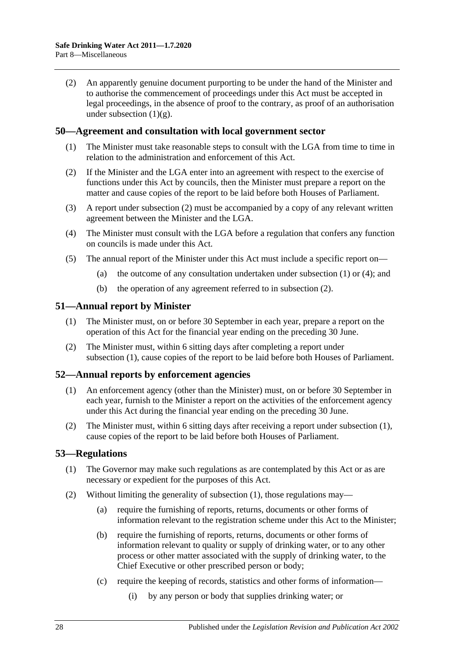(2) An apparently genuine document purporting to be under the hand of the Minister and to authorise the commencement of proceedings under this Act must be accepted in legal proceedings, in the absence of proof to the contrary, as proof of an authorisation under [subsection](#page-26-4)  $(1)(g)$ .

#### <span id="page-27-5"></span><span id="page-27-0"></span>**50—Agreement and consultation with local government sector**

- (1) The Minister must take reasonable steps to consult with the LGA from time to time in relation to the administration and enforcement of this Act.
- <span id="page-27-4"></span>(2) If the Minister and the LGA enter into an agreement with respect to the exercise of functions under this Act by councils, then the Minister must prepare a report on the matter and cause copies of the report to be laid before both Houses of Parliament.
- (3) A report under [subsection](#page-27-4) (2) must be accompanied by a copy of any relevant written agreement between the Minister and the LGA.
- <span id="page-27-6"></span>(4) The Minister must consult with the LGA before a regulation that confers any function on councils is made under this Act.
- (5) The annual report of the Minister under this Act must include a specific report on
	- (a) the outcome of any consultation undertaken under [subsection](#page-27-5)  $(1)$  or  $(4)$ ; and
	- (b) the operation of any agreement referred to in [subsection](#page-27-4) (2).

#### <span id="page-27-7"></span><span id="page-27-1"></span>**51—Annual report by Minister**

- (1) The Minister must, on or before 30 September in each year, prepare a report on the operation of this Act for the financial year ending on the preceding 30 June.
- (2) The Minister must, within 6 sitting days after completing a report under [subsection](#page-27-7) (1), cause copies of the report to be laid before both Houses of Parliament.

#### <span id="page-27-8"></span><span id="page-27-2"></span>**52—Annual reports by enforcement agencies**

- (1) An enforcement agency (other than the Minister) must, on or before 30 September in each year, furnish to the Minister a report on the activities of the enforcement agency under this Act during the financial year ending on the preceding 30 June.
- (2) The Minister must, within 6 sitting days after receiving a report under [subsection](#page-27-8) (1), cause copies of the report to be laid before both Houses of Parliament.

#### <span id="page-27-9"></span><span id="page-27-3"></span>**53—Regulations**

- (1) The Governor may make such regulations as are contemplated by this Act or as are necessary or expedient for the purposes of this Act.
- (2) Without limiting the generality of [subsection](#page-27-9) (1), those regulations may—
	- (a) require the furnishing of reports, returns, documents or other forms of information relevant to the registration scheme under this Act to the Minister;
	- (b) require the furnishing of reports, returns, documents or other forms of information relevant to quality or supply of drinking water, or to any other process or other matter associated with the supply of drinking water, to the Chief Executive or other prescribed person or body;
	- (c) require the keeping of records, statistics and other forms of information—
		- (i) by any person or body that supplies drinking water; or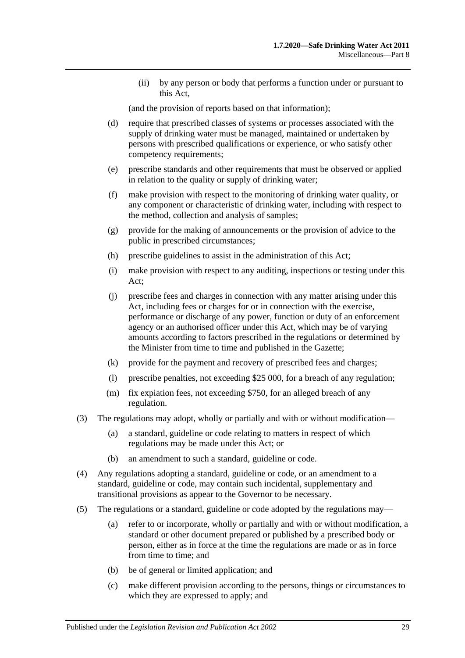(ii) by any person or body that performs a function under or pursuant to this Act,

(and the provision of reports based on that information);

- (d) require that prescribed classes of systems or processes associated with the supply of drinking water must be managed, maintained or undertaken by persons with prescribed qualifications or experience, or who satisfy other competency requirements;
- (e) prescribe standards and other requirements that must be observed or applied in relation to the quality or supply of drinking water;
- (f) make provision with respect to the monitoring of drinking water quality, or any component or characteristic of drinking water, including with respect to the method, collection and analysis of samples;
- (g) provide for the making of announcements or the provision of advice to the public in prescribed circumstances;
- (h) prescribe guidelines to assist in the administration of this Act;
- (i) make provision with respect to any auditing, inspections or testing under this Act;
- (j) prescribe fees and charges in connection with any matter arising under this Act, including fees or charges for or in connection with the exercise, performance or discharge of any power, function or duty of an enforcement agency or an authorised officer under this Act, which may be of varying amounts according to factors prescribed in the regulations or determined by the Minister from time to time and published in the Gazette;
- (k) provide for the payment and recovery of prescribed fees and charges;
- (l) prescribe penalties, not exceeding \$25 000, for a breach of any regulation;
- (m) fix expiation fees, not exceeding \$750, for an alleged breach of any regulation.
- (3) The regulations may adopt, wholly or partially and with or without modification—
	- (a) a standard, guideline or code relating to matters in respect of which regulations may be made under this Act; or
	- (b) an amendment to such a standard, guideline or code.
- (4) Any regulations adopting a standard, guideline or code, or an amendment to a standard, guideline or code, may contain such incidental, supplementary and transitional provisions as appear to the Governor to be necessary.
- (5) The regulations or a standard, guideline or code adopted by the regulations may—
	- (a) refer to or incorporate, wholly or partially and with or without modification, a standard or other document prepared or published by a prescribed body or person, either as in force at the time the regulations are made or as in force from time to time; and
	- (b) be of general or limited application; and
	- (c) make different provision according to the persons, things or circumstances to which they are expressed to apply; and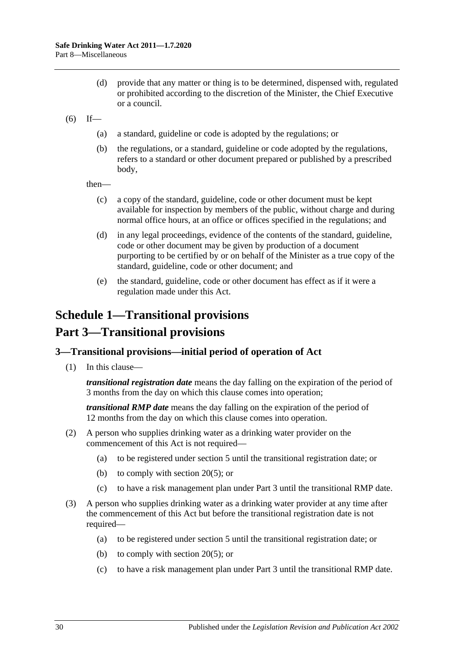- (d) provide that any matter or thing is to be determined, dispensed with, regulated or prohibited according to the discretion of the Minister, the Chief Executive or a council.
- $(6)$  If—
	- (a) a standard, guideline or code is adopted by the regulations; or
	- (b) the regulations, or a standard, guideline or code adopted by the regulations, refers to a standard or other document prepared or published by a prescribed body,

then—

- (c) a copy of the standard, guideline, code or other document must be kept available for inspection by members of the public, without charge and during normal office hours, at an office or offices specified in the regulations; and
- (d) in any legal proceedings, evidence of the contents of the standard, guideline, code or other document may be given by production of a document purporting to be certified by or on behalf of the Minister as a true copy of the standard, guideline, code or other document; and
- (e) the standard, guideline, code or other document has effect as if it were a regulation made under this Act.

## <span id="page-29-0"></span>**Schedule 1—Transitional provisions**

## **Part 3—Transitional provisions**

#### <span id="page-29-1"></span>**3—Transitional provisions—initial period of operation of Act**

(1) In this clause—

*transitional registration date* means the day falling on the expiration of the period of 3 months from the day on which this clause comes into operation;

*transitional RMP date* means the day falling on the expiration of the period of 12 months from the day on which this clause comes into operation.

- (2) A person who supplies drinking water as a drinking water provider on the commencement of this Act is not required—
	- (a) to be registered under [section](#page-5-1) 5 until the transitional registration date; or
	- (b) to comply with [section](#page-12-6) 20(5); or
	- (c) to have a risk management plan under [Part](#page-8-1) 3 until the transitional RMP date.
- (3) A person who supplies drinking water as a drinking water provider at any time after the commencement of this Act but before the transitional registration date is not required—
	- (a) to be registered under [section](#page-5-1) 5 until the transitional registration date; or
	- (b) to comply with [section](#page-12-6) 20(5); or
	- (c) to have a risk management plan under [Part](#page-8-1) 3 until the transitional RMP date.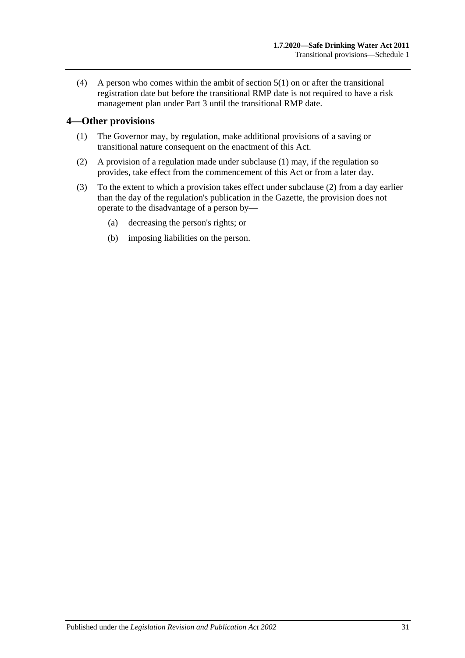(4) A person who comes within the ambit of [section](#page-5-4) 5(1) on or after the transitional registration date but before the transitional RMP date is not required to have a risk management plan under [Part](#page-8-1) 3 until the transitional RMP date.

#### <span id="page-30-1"></span><span id="page-30-0"></span>**4—Other provisions**

- (1) The Governor may, by regulation, make additional provisions of a saving or transitional nature consequent on the enactment of this Act.
- <span id="page-30-2"></span>(2) A provision of a regulation made under [subclause](#page-30-1) (1) may, if the regulation so provides, take effect from the commencement of this Act or from a later day.
- (3) To the extent to which a provision takes effect under [subclause](#page-30-2) (2) from a day earlier than the day of the regulation's publication in the Gazette, the provision does not operate to the disadvantage of a person by—
	- (a) decreasing the person's rights; or
	- (b) imposing liabilities on the person.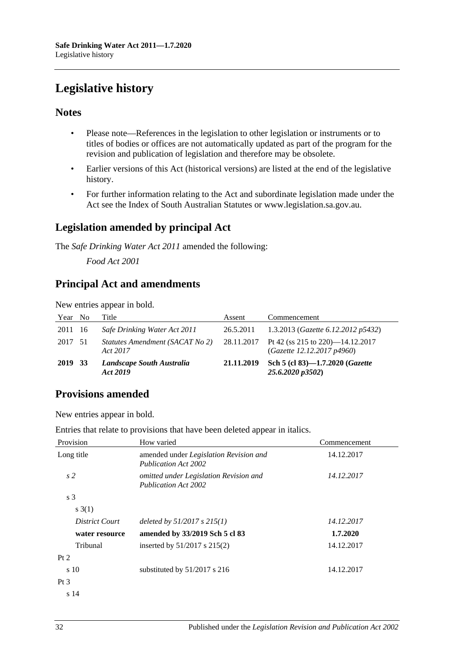## <span id="page-31-0"></span>**Legislative history**

#### **Notes**

- Please note—References in the legislation to other legislation or instruments or to titles of bodies or offices are not automatically updated as part of the program for the revision and publication of legislation and therefore may be obsolete.
- Earlier versions of this Act (historical versions) are listed at the end of the legislative history.
- For further information relating to the Act and subordinate legislation made under the Act see the Index of South Australian Statutes or www.legislation.sa.gov.au.

### **Legislation amended by principal Act**

The *Safe Drinking Water Act 2011* amended the following:

*Food Act 2001*

## **Principal Act and amendments**

New entries appear in bold.

| Year No | Title                                       | Assent     | Commencement                                                              |
|---------|---------------------------------------------|------------|---------------------------------------------------------------------------|
| 2011 16 | Safe Drinking Water Act 2011                | 26.5.2011  | 1.3.2013 (Gazette 6.12.2012 p5432)                                        |
| 2017 51 | Statutes Amendment (SACAT No 2)<br>Act 2017 |            | 28.11.2017 Pt 42 (ss 215 to 220)—14.12.2017<br>(Gazette 12.12.2017 p4960) |
| 2019 33 | Landscape South Australia<br>Act 2019       | 21.11.2019 | Sch 5 (cl 83)-1.7.2020 (Gazette<br>25.6.2020 p3502)                       |

## **Provisions amended**

New entries appear in bold.

Entries that relate to provisions that have been deleted appear in italics.

| Provision      | How varied                                                            | Commencement |
|----------------|-----------------------------------------------------------------------|--------------|
| Long title     | amended under Legislation Revision and<br><b>Publication Act 2002</b> | 14.12.2017   |
| s <sub>2</sub> | omitted under Legislation Revision and<br><b>Publication Act 2002</b> | 14.12.2017   |
| s <sub>3</sub> |                                                                       |              |
| s(3(1))        |                                                                       |              |
| District Court | deleted by $51/2017$ s $215(1)$                                       | 14.12.2017   |
| water resource | amended by 33/2019 Sch 5 cl 83                                        | 1.7.2020     |
| Tribunal       | inserted by $51/2017$ s $215(2)$                                      | 14.12.2017   |
| Pt 2           |                                                                       |              |
| $\sin 10$      | substituted by 51/2017 s 216                                          | 14.12.2017   |
| Pt $3$         |                                                                       |              |
| s 14           |                                                                       |              |